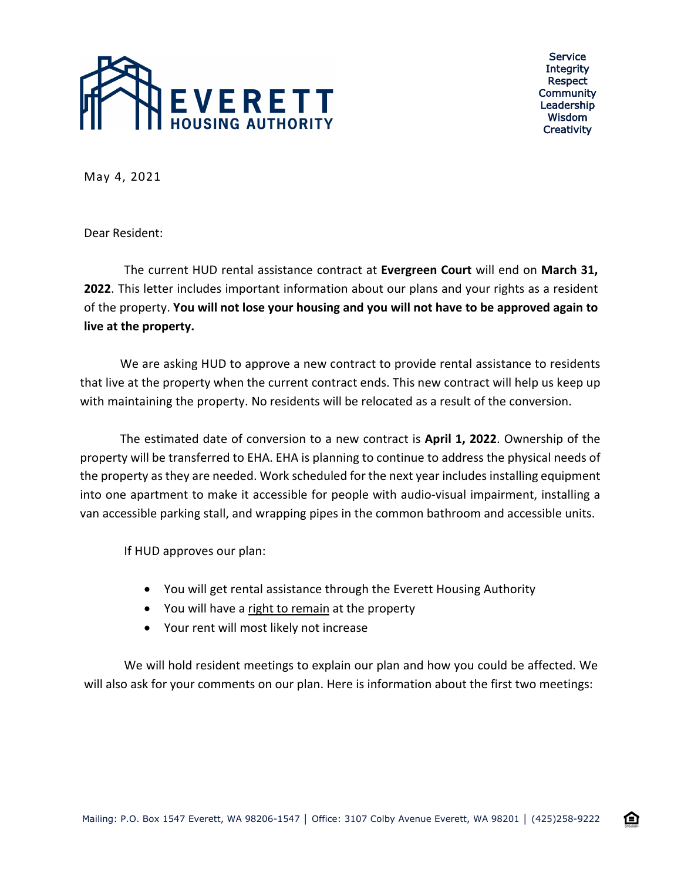

Service **Integrity** Respect Community Leadership Wisdom **Creativity** 

企

May 4, 2021

Dear Resident:

The current HUD rental assistance contract at **Evergreen Court** will end on **March 31, 2022**. This letter includes important information about our plans and your rights as a resident of the property. **You will not lose your housing and you will not have to be approved again to live at the property.**

We are asking HUD to approve a new contract to provide rental assistance to residents that live at the property when the current contract ends. This new contract will help us keep up with maintaining the property. No residents will be relocated as a result of the conversion.

The estimated date of conversion to a new contract is **April 1, 2022**. Ownership of the property will be transferred to EHA. EHA is planning to continue to address the physical needs of the property as they are needed. Work scheduled for the next year includes installing equipment into one apartment to make it accessible for people with audio-visual impairment, installing a van accessible parking stall, and wrapping pipes in the common bathroom and accessible units.

If HUD approves our plan:

- You will get rental assistance through the Everett Housing Authority
- You will have a right to remain at the property
- Your rent will most likely not increase

We will hold resident meetings to explain our plan and how you could be affected. We will also ask for your comments on our plan. Here is information about the first two meetings: